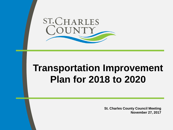

## **Transportation Improvement Plan for 2018 to 2020**

**St. Charles County Council Meeting November 27, 2017**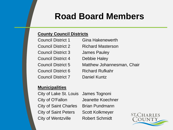## **Road Board Members**

#### **County Council Districts**

| <b>Council District 1</b> | <b>Gina Hakenewerth</b>    |
|---------------------------|----------------------------|
| <b>Council District 2</b> | <b>Richard Masterson</b>   |
| <b>Council District 3</b> | <b>James Pauley</b>        |
| Council District 4        | <b>Debbie Haley</b>        |
| <b>Council District 5</b> | Matthew Johannesman, Chair |
| <b>Council District 6</b> | <b>Richard Rufkahr</b>     |
| <b>Council District 7</b> | <b>Daniel Kuntz</b>        |

#### **Municipalities**

City of Lake St. Louis James Tognoni City of O'Fallon Jeanette Koechner City of Saint Charles Brian Pundmann City of Saint Peters Scott Kolkmeyer City of Wentzville Robert Schmidt

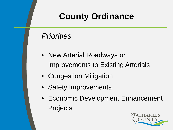## **County Ordinance**

### *Priorities*

- New Arterial Roadways or Improvements to Existing Arterials
- Congestion Mitigation
- Safety Improvements
- Economic Development Enhancement **Projects**

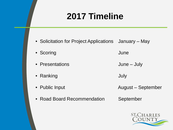## **2017 Timeline**

- Solicitation for Project Applications January May
- Scoring **Community Community** Scoring **Community** June
- Presentations **June July**
- Ranking July
- Public Input **August September** August September
- Road Board Recommendation September
- -

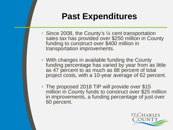## **Past Expenditures**

- Since 2008, the County's  $\frac{1}{2}$  cent transportation sales tax has provided over \$250 million in County funding to construct over \$400 million in transportation improvements.
- With changes in available funding the County funding percentage has varied by year from as little as 47 percent to as much as 88 percent of total project costs, with a 10-year average of 62 percent.
- The proposed 2018 TIP will provide over \$15 million in County funds to construct over \$25 million in improvements, a funding percentage of just over 60 percent.

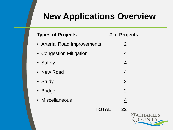## **New Applications Overview**

| <b>Types of Projects</b>     | # of Projects  |
|------------------------------|----------------|
| • Arterial Road Improvements | $\overline{2}$ |
| • Congestion Mitigation      | 4              |
| • Safety                     | 4              |
| • New Road                   | 4              |
| • Study                      | $\overline{2}$ |
| • Bridge                     | $\overline{2}$ |
| • Miscellaneous              | 4              |
| <b>TOTAL</b>                 | 22             |
|                              | ST.            |

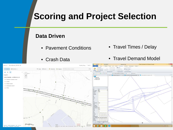## **Scoring and Project Selection**

#### **Data Driven**

- Pavement Conditions
- Crash Data
- Travel Times / Delay
- Travel Demand Model

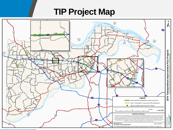## **TIP Project Map**

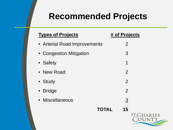### **Recommended Projects**

| <b>Types of Projects</b>     | # of Projects      |
|------------------------------|--------------------|
| • Arterial Road Improvements | $\overline{2}$     |
| • Congestion Mitigation      | 3                  |
| • Safety                     | 1                  |
| • New Road                   | $\overline{2}$     |
| • Study                      | $\overline{2}$     |
| • Bridge                     | $\overline{2}$     |
| • Miscellaneous              | $\overline{3}$     |
|                              | <b>TOTAL</b><br>15 |
|                              | ST.C               |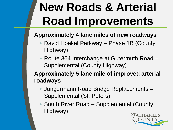# **New Roads & Arterial Road Improvements**

#### **Approximately 4 lane miles of new roadways**

- David Hoekel Parkway Phase 1B (County Highway)
- Route 364 Interchange at Gutermuth Road Supplemental (County Highway)

#### **Approximately 5 lane mile of improved arterial roadways**

- Jungermann Road Bridge Replacements Supplemental (St. Peters)
- South River Road Supplemental (County Highway)

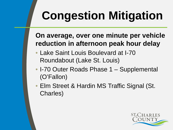# **Congestion Mitigation**

### **On average, over one minute per vehicle reduction in afternoon peak hour delay**

- Lake Saint Louis Boulevard at I-70 Roundabout (Lake St. Louis)
- I-70 Outer Roads Phase 1 Supplemental (O'Fallon)
- Elm Street & Hardin MS Traffic Signal (St. Charles)

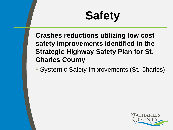# **Safety**

**Crashes reductions utilizing low cost safety improvements identified in the Strategic Highway Safety Plan for St. Charles County** 

• Systemic Safety Improvements (St. Charles)

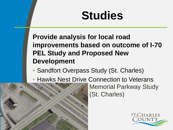## **Studies**

**Provide analysis for local road improvements based on outcome of I-70 PEL Study and Proposed New Development**

- Sandfort Overpass Study (St. Charles)
- Hawks Nest Drive Connection to Veterans



Memorial Parkway Study (St. Charles)

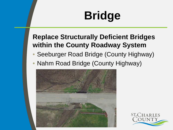# **Bridge**

### **Replace Structurally Deficient Bridges within the County Roadway System**

- Seeburger Road Bridge (County Highway)
- Nahm Road Bridge (County Highway)



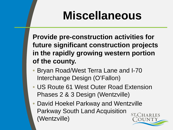## **Miscellaneous**

**Provide pre-construction activities for future significant construction projects in the rapidly growing western portion of the county.**

- Bryan Road/West Terra Lane and I-70 Interchange Design (O'Fallon)
- US Route 61 West Outer Road Extension Phases 2 & 3 Design (Wentzville)
- David Hoekel Parkway and Wentzville Parkway South Land Acquisition (Wentzville)